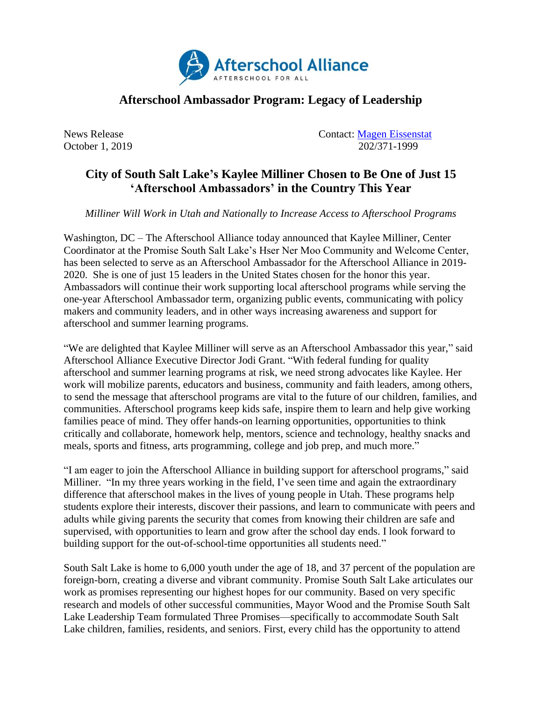

## **Afterschool Ambassador Program: Legacy of Leadership**

News Release Contact: [Magen Eissenstat](mailto:magen@prsolutionsdc.com) October 1, 2019 202/371-1999

## **City of South Salt Lake's Kaylee Milliner Chosen to Be One of Just 15 'Afterschool Ambassadors' in the Country This Year**

*Milliner Will Work in Utah and Nationally to Increase Access to Afterschool Programs*

Washington, DC – The Afterschool Alliance today announced that Kaylee Milliner, Center Coordinator at the Promise South Salt Lake's Hser Ner Moo Community and Welcome Center, has been selected to serve as an Afterschool Ambassador for the Afterschool Alliance in 2019- 2020. She is one of just 15 leaders in the United States chosen for the honor this year. Ambassadors will continue their work supporting local afterschool programs while serving the one-year Afterschool Ambassador term, organizing public events, communicating with policy makers and community leaders, and in other ways increasing awareness and support for afterschool and summer learning programs.

"We are delighted that Kaylee Milliner will serve as an Afterschool Ambassador this year," said Afterschool Alliance Executive Director Jodi Grant. "With federal funding for quality afterschool and summer learning programs at risk, we need strong advocates like Kaylee. Her work will mobilize parents, educators and business, community and faith leaders, among others, to send the message that afterschool programs are vital to the future of our children, families, and communities. Afterschool programs keep kids safe, inspire them to learn and help give working families peace of mind. They offer hands-on learning opportunities, opportunities to think critically and collaborate, homework help, mentors, science and technology, healthy snacks and meals, sports and fitness, arts programming, college and job prep, and much more."

"I am eager to join the Afterschool Alliance in building support for afterschool programs," said Milliner. "In my three years working in the field, I've seen time and again the extraordinary difference that afterschool makes in the lives of young people in Utah. These programs help students explore their interests, discover their passions, and learn to communicate with peers and adults while giving parents the security that comes from knowing their children are safe and supervised, with opportunities to learn and grow after the school day ends. I look forward to building support for the out-of-school-time opportunities all students need."

South Salt Lake is home to 6,000 youth under the age of 18, and 37 percent of the population are foreign-born, creating a diverse and vibrant community. Promise South Salt Lake articulates our work as promises representing our highest hopes for our community. Based on very specific research and models of other successful communities, Mayor Wood and the Promise South Salt Lake Leadership Team formulated Three Promises—specifically to accommodate South Salt Lake children, families, residents, and seniors. First, every child has the opportunity to attend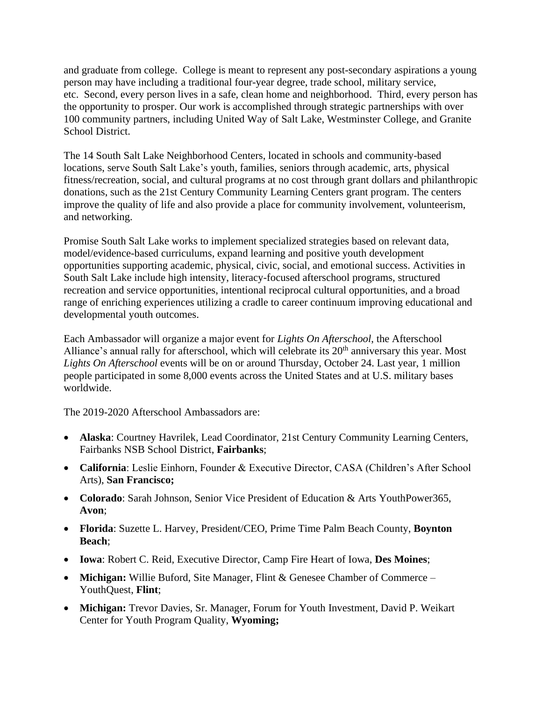and graduate from college. College is meant to represent any post-secondary aspirations a young person may have including a traditional four-year degree, trade school, military service, etc. Second, every person lives in a safe, clean home and neighborhood. Third, every person has the opportunity to prosper. Our work is accomplished through strategic partnerships with over 100 community partners, including United Way of Salt Lake, Westminster College, and Granite School District.

The 14 South Salt Lake Neighborhood Centers, located in schools and community-based locations, serve South Salt Lake's youth, families, seniors through academic, arts, physical fitness/recreation, social, and cultural programs at no cost through grant dollars and philanthropic donations, such as the 21st Century Community Learning Centers grant program. The centers improve the quality of life and also provide a place for community involvement, volunteerism, and networking.

Promise South Salt Lake works to implement specialized strategies based on relevant data, model/evidence-based curriculums, expand learning and positive youth development opportunities supporting academic, physical, civic, social, and emotional success. Activities in South Salt Lake include high intensity, literacy-focused afterschool programs, structured recreation and service opportunities, intentional reciprocal cultural opportunities, and a broad range of enriching experiences utilizing a cradle to career continuum improving educational and developmental youth outcomes.

Each Ambassador will organize a major event for *Lights On Afterschool*, the Afterschool Alliance's annual rally for afterschool, which will celebrate its 20<sup>th</sup> anniversary this year. Most *Lights On Afterschool* events will be on or around Thursday, October 24. Last year, 1 million people participated in some 8,000 events across the United States and at U.S. military bases worldwide.

The 2019-2020 Afterschool Ambassadors are:

- **Alaska**: Courtney Havrilek, Lead Coordinator, 21st Century Community Learning Centers, Fairbanks NSB School District, **Fairbanks**;
- **California**: Leslie Einhorn, Founder & Executive Director, CASA (Children's After School Arts), **San Francisco;**
- **Colorado**: Sarah Johnson, Senior Vice President of Education & Arts YouthPower365, **Avon**;
- **Florida**: Suzette L. Harvey, President/CEO, Prime Time Palm Beach County, **Boynton Beach**;
- **Iowa**: Robert C. Reid, Executive Director, Camp Fire Heart of Iowa, **Des Moines**;
- **Michigan:** Willie Buford, Site Manager, Flint & Genesee Chamber of Commerce YouthQuest, **Flint**;
- **Michigan:** Trevor Davies, Sr. Manager, Forum for Youth Investment, David P. Weikart Center for Youth Program Quality, **Wyoming;**